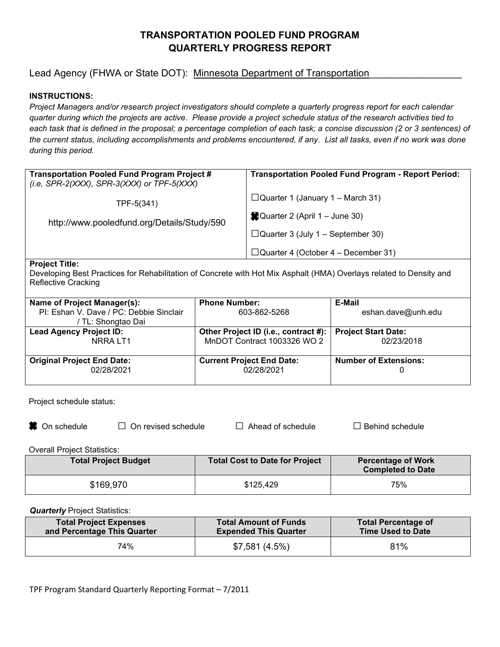# **TRANSPORTATION POOLED FUND PROGRAM QUARTERLY PROGRESS REPORT**

# Lead Agency (FHWA or State DOT): Minnesota Department of Transportation

## **INSTRUCTIONS:**

*Project Managers and/or research project investigators should complete a quarterly progress report for each calendar quarter during which the projects are active. Please provide a project schedule status of the research activities tied to each task that is defined in the proposal; a percentage completion of each task; a concise discussion (2 or 3 sentences) of the current status, including accomplishments and problems encountered, if any. List all tasks, even if no work was done during this period.* 

| Transportation Pooled Fund Program Project #<br>(i.e, SPR-2(XXX), SPR-3(XXX) or TPF-5(XXX) | <b>Transportation Pooled Fund Program - Report Period:</b> |
|--------------------------------------------------------------------------------------------|------------------------------------------------------------|
| TPF-5(341)                                                                                 | $\Box$ Quarter 1 (January 1 – March 31)                    |
| http://www.pooledfund.org/Details/Study/590                                                | Quarter 2 (April 1 – June 30)                              |
|                                                                                            | $\Box$ Quarter 3 (July 1 – September 30)                   |
| _ _ _ _                                                                                    | $\Box$ Quarter 4 (October 4 – December 31)                 |

#### **Project Title:**

Developing Best Practices for Rehabilitation of Concrete with Hot Mix Asphalt (HMA) Overlays related to Density and Reflective Cracking

| Name of Project Manager(s):             | <b>Phone Number:</b>                 | E-Mail                       |
|-----------------------------------------|--------------------------------------|------------------------------|
| PI: Eshan V. Dave / PC: Debbie Sinclair | 603-862-5268                         | eshan.dave@unh.edu           |
| / TL: Shongtao Dai                      |                                      |                              |
| <b>Lead Agency Project ID:</b>          | Other Project ID (i.e., contract #): | <b>Project Start Date:</b>   |
| NRRA LT1                                | MnDOT Contract 1003326 WO 2          | 02/23/2018                   |
|                                         |                                      |                              |
| <b>Original Project End Date:</b>       | <b>Current Project End Date:</b>     | <b>Number of Extensions:</b> |
| 02/28/2021                              | 02/28/2021                           |                              |
|                                         |                                      |                              |

Project schedule status:

**3** On schedule □ On revised schedule □ Ahead of schedule □ Behind schedule

Overall Project Statistics:

| <b>Total Project Budget</b> | <b>Total Cost to Date for Project</b> | <b>Percentage of Work</b><br><b>Completed to Date</b> |
|-----------------------------|---------------------------------------|-------------------------------------------------------|
| \$169,970                   | \$125,429                             | 75%                                                   |

*Quarterly* Project Statistics:

| <b>Total Project Expenses</b> | <b>Total Amount of Funds</b> | <b>Total Percentage of</b> |
|-------------------------------|------------------------------|----------------------------|
| and Percentage This Quarter   | <b>Expended This Quarter</b> | <b>Time Used to Date</b>   |
| 74%                           | \$7,581(4.5%)                | 81%                        |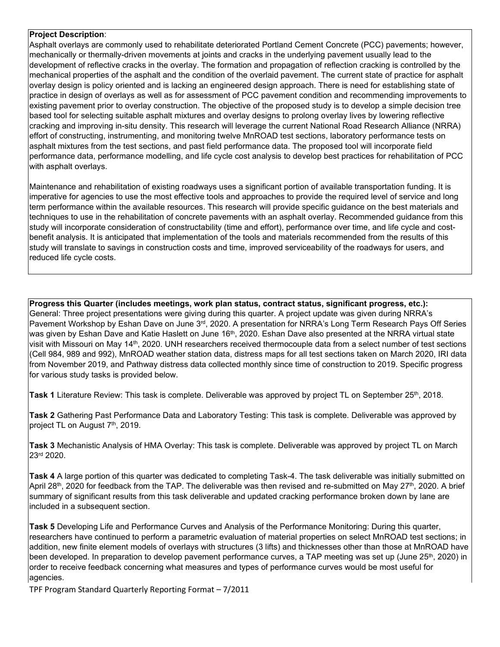#### **Project Description**:

Asphalt overlays are commonly used to rehabilitate deteriorated Portland Cement Concrete (PCC) pavements; however, mechanically or thermally-driven movements at joints and cracks in the underlying pavement usually lead to the development of reflective cracks in the overlay. The formation and propagation of reflection cracking is controlled by the mechanical properties of the asphalt and the condition of the overlaid pavement. The current state of practice for asphalt overlay design is policy oriented and is lacking an engineered design approach. There is need for establishing state of practice in design of overlays as well as for assessment of PCC pavement condition and recommending improvements to existing pavement prior to overlay construction. The objective of the proposed study is to develop a simple decision tree based tool for selecting suitable asphalt mixtures and overlay designs to prolong overlay lives by lowering reflective cracking and improving in-situ density. This research will leverage the current National Road Research Alliance (NRRA) effort of constructing, instrumenting, and monitoring twelve MnROAD test sections, laboratory performance tests on asphalt mixtures from the test sections, and past field performance data. The proposed tool will incorporate field performance data, performance modelling, and life cycle cost analysis to develop best practices for rehabilitation of PCC with asphalt overlays.

Maintenance and rehabilitation of existing roadways uses a significant portion of available transportation funding. It is imperative for agencies to use the most effective tools and approaches to provide the required level of service and long term performance within the available resources. This research will provide specific guidance on the best materials and techniques to use in the rehabilitation of concrete pavements with an asphalt overlay. Recommended guidance from this study will incorporate consideration of constructability (time and effort), performance over time, and life cycle and costbenefit analysis. It is anticipated that implementation of the tools and materials recommended from the results of this study will translate to savings in construction costs and time, improved serviceability of the roadways for users, and reduced life cycle costs.

**Progress this Quarter (includes meetings, work plan status, contract status, significant progress, etc.):** General: Three project presentations were giving during this quarter. A project update was given during NRRA's Pavement Workshop by Eshan Dave on June 3<sup>rd</sup>, 2020. A presentation for NRRA's Long Term Research Pays Off Series was given by Eshan Dave and Katie Haslett on June 16<sup>th</sup>, 2020. Eshan Dave also presented at the NRRA virtual state visit with Missouri on May 14th, 2020. UNH researchers received thermocouple data from a select number of test sections (Cell 984, 989 and 992), MnROAD weather station data, distress maps for all test sections taken on March 2020, IRI data from November 2019, and Pathway distress data collected monthly since time of construction to 2019. Specific progress for various study tasks is provided below.

**Task 1** Literature Review: This task is complete. Deliverable was approved by project TL on September 25th, 2018.

**Task 2** Gathering Past Performance Data and Laboratory Testing: This task is complete. Deliverable was approved by project TL on August 7<sup>th</sup>, 2019.

**Task 3** Mechanistic Analysis of HMA Overlay: This task is complete. Deliverable was approved by project TL on March 23rd 2020.

**Task 4** A large portion of this quarter was dedicated to completing Task-4. The task deliverable was initially submitted on April 28<sup>th</sup>, 2020 for feedback from the TAP. The deliverable was then revised and re-submitted on May 27<sup>th</sup>, 2020. A brief summary of significant results from this task deliverable and updated cracking performance broken down by lane are included in a subsequent section.

**Task 5** Developing Life and Performance Curves and Analysis of the Performance Monitoring: During this quarter, researchers have continued to perform a parametric evaluation of material properties on select MnROAD test sections; in addition, new finite element models of overlays with structures (3 lifts) and thicknesses other than those at MnROAD have been developed. In preparation to develop pavement performance curves, a TAP meeting was set up (June 25<sup>th</sup>, 2020) in order to receive feedback concerning what measures and types of performance curves would be most useful for agencies.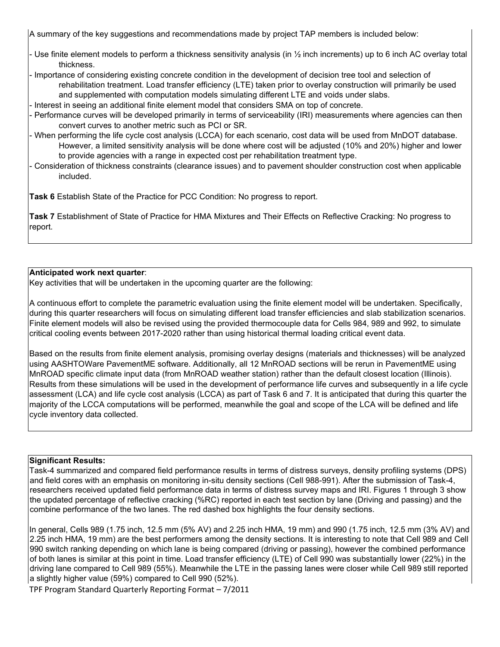A summary of the key suggestions and recommendations made by project TAP members is included below:

- Use finite element models to perform a thickness sensitivity analysis (in  $\frac{1}{2}$  inch increments) up to 6 inch AC overlay total thickness.
- Importance of considering existing concrete condition in the development of decision tree tool and selection of rehabilitation treatment. Load transfer efficiency (LTE) taken prior to overlay construction will primarily be used and supplemented with computation models simulating different LTE and voids under slabs.
- Interest in seeing an additional finite element model that considers SMA on top of concrete.
- Performance curves will be developed primarily in terms of serviceability (IRI) measurements where agencies can then convert curves to another metric such as PCI or SR.
- When performing the life cycle cost analysis (LCCA) for each scenario, cost data will be used from MnDOT database. However, a limited sensitivity analysis will be done where cost will be adjusted (10% and 20%) higher and lower to provide agencies with a range in expected cost per rehabilitation treatment type.
- Consideration of thickness constraints (clearance issues) and to pavement shoulder construction cost when applicable included.

**Task 6** Establish State of the Practice for PCC Condition: No progress to report.

**Task 7** Establishment of State of Practice for HMA Mixtures and Their Effects on Reflective Cracking: No progress to report.

#### **Anticipated work next quarter**:

Key activities that will be undertaken in the upcoming quarter are the following:

A continuous effort to complete the parametric evaluation using the finite element model will be undertaken. Specifically, during this quarter researchers will focus on simulating different load transfer efficiencies and slab stabilization scenarios. Finite element models will also be revised using the provided thermocouple data for Cells 984, 989 and 992, to simulate critical cooling events between 2017-2020 rather than using historical thermal loading critical event data.

Based on the results from finite element analysis, promising overlay designs (materials and thicknesses) will be analyzed using AASHTOWare PavementME software. Additionally, all 12 MnROAD sections will be rerun in PavementME using MnROAD specific climate input data (from MnROAD weather station) rather than the default closest location (Illinois). Results from these simulations will be used in the development of performance life curves and subsequently in a life cycle assessment (LCA) and life cycle cost analysis (LCCA) as part of Task 6 and 7. It is anticipated that during this quarter the majority of the LCCA computations will be performed, meanwhile the goal and scope of the LCA will be defined and life cycle inventory data collected.

#### **Significant Results:**

Task-4 summarized and compared field performance results in terms of distress surveys, density profiling systems (DPS) and field cores with an emphasis on monitoring in-situ density sections (Cell 988-991). After the submission of Task-4, researchers received updated field performance data in terms of distress survey maps and IRI. Figures 1 through 3 show the updated percentage of reflective cracking (%RC) reported in each test section by lane (Driving and passing) and the combine performance of the two lanes. The red dashed box highlights the four density sections.

In general, Cells 989 (1.75 inch, 12.5 mm (5% AV) and 2.25 inch HMA, 19 mm) and 990 (1.75 inch, 12.5 mm (3% AV) and 2.25 inch HMA, 19 mm) are the best performers among the density sections. It is interesting to note that Cell 989 and Cell 990 switch ranking depending on which lane is being compared (driving or passing), however the combined performance of both lanes is similar at this point in time. Load transfer efficiency (LTE) of Cell 990 was substantially lower (22%) in the driving lane compared to Cell 989 (55%). Meanwhile the LTE in the passing lanes were closer while Cell 989 still reported a slightly higher value (59%) compared to Cell 990 (52%).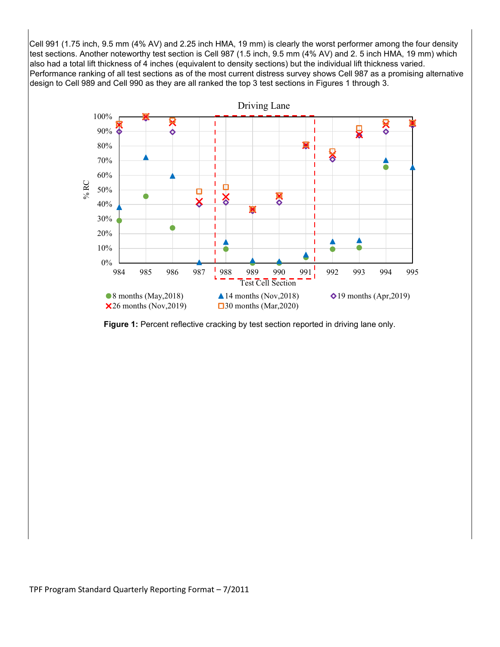Cell 991 (1.75 inch, 9.5 mm (4% AV) and 2.25 inch HMA, 19 mm) is clearly the worst performer among the four density test sections. Another noteworthy test section is Cell 987 (1.5 inch, 9.5 mm (4% AV) and 2. 5 inch HMA, 19 mm) which also had a total lift thickness of 4 inches (equivalent to density sections) but the individual lift thickness varied. Performance ranking of all test sections as of the most current distress survey shows Cell 987 as a promising alternative design to Cell 989 and Cell 990 as they are all ranked the top 3 test sections in Figures 1 through 3.



Figure 1: Percent reflective cracking by test section reported in driving lane only.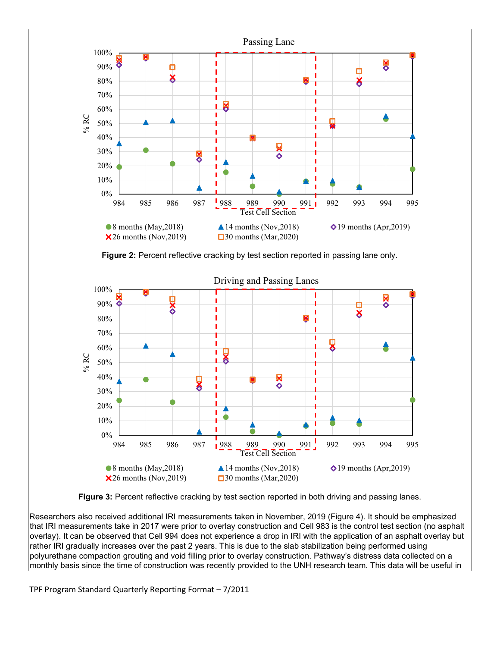

**Figure 2:** Percent reflective cracking by test section reported in passing lane only.



**Figure 3:** Percent reflective cracking by test section reported in both driving and passing lanes.

Researchers also received additional IRI measurements taken in November, 2019 (Figure 4). It should be emphasized that IRI measurements take in 2017 were prior to overlay construction and Cell 983 is the control test section (no asphalt overlay). It can be observed that Cell 994 does not experience a drop in IRI with the application of an asphalt overlay but rather IRI gradually increases over the past 2 years. This is due to the slab stabilization being performed using polyurethane compaction grouting and void filling prior to overlay construction. Pathway's distress data collected on a monthly basis since the time of construction was recently provided to the UNH research team. This data will be useful in